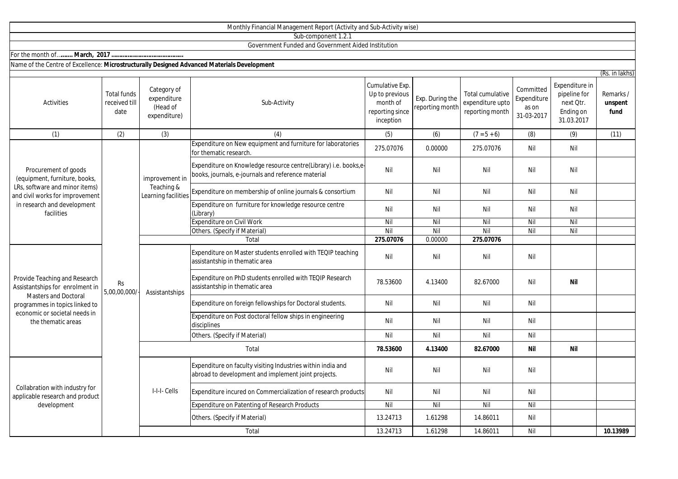|                                                                                                                                                                                   |                                             |                                                        | Sub-component 1.2.1                                                                                                   |                                                                               |                                    |                                                                |                                                 |                                                                        |                              |
|-----------------------------------------------------------------------------------------------------------------------------------------------------------------------------------|---------------------------------------------|--------------------------------------------------------|-----------------------------------------------------------------------------------------------------------------------|-------------------------------------------------------------------------------|------------------------------------|----------------------------------------------------------------|-------------------------------------------------|------------------------------------------------------------------------|------------------------------|
|                                                                                                                                                                                   |                                             |                                                        | Government Funded and Government Aided Institution                                                                    |                                                                               |                                    |                                                                |                                                 |                                                                        |                              |
|                                                                                                                                                                                   |                                             |                                                        |                                                                                                                       |                                                                               |                                    |                                                                |                                                 |                                                                        |                              |
| Name of the Centre of Excellence: Microstructurally Designed Advanced Materials Development                                                                                       |                                             |                                                        |                                                                                                                       |                                                                               |                                    |                                                                |                                                 |                                                                        |                              |
|                                                                                                                                                                                   |                                             |                                                        |                                                                                                                       |                                                                               |                                    |                                                                |                                                 |                                                                        | (Rs. in lakhs)               |
| Activities                                                                                                                                                                        | <b>Total funds</b><br>received till<br>date | Category of<br>expenditure<br>(Head of<br>expenditure) | Sub-Activity                                                                                                          | Cumulative Exp.<br>Up to previous<br>month of<br>reporting since<br>inception | Exp. During the<br>reporting month | <b>Total cumulative</b><br>expenditure upto<br>reporting month | Committed<br>Expenditure<br>as on<br>31-03-2017 | Expenditure in<br>pipeline for<br>next Otr.<br>Ending on<br>31.03.2017 | Remarks /<br>unspent<br>fund |
| (1)                                                                                                                                                                               | (2)                                         | (3)                                                    | (4)                                                                                                                   | (5)                                                                           | (6)                                | $(7 = 5 + 6)$                                                  | (8)                                             | (9)                                                                    | (11)                         |
| Procurement of goods<br>(equipment, furniture, books,<br>LRs, software and minor items)<br>and civil works for improvement<br>in research and development<br>facilities           | Rs<br>5,00,00,000/                          | improvement in<br>Teaching &<br>Learning facilities    | Expenditure on New equipment and furniture for laboratories<br>for thematic research.                                 | 275.07076                                                                     | 0.00000                            | 275.07076                                                      | Nil                                             | Nil                                                                    |                              |
|                                                                                                                                                                                   |                                             |                                                        | Expenditure on Knowledge resource centre(Library) i.e. books,e-<br>books, journals, e-journals and reference material | Nil                                                                           | Nil                                | Nil                                                            | Nil                                             | Nil                                                                    |                              |
|                                                                                                                                                                                   |                                             |                                                        | Expenditure on membership of online journals & consortium                                                             | Nil                                                                           | Nil                                | Nil                                                            | Nil                                             | Nil                                                                    |                              |
|                                                                                                                                                                                   |                                             |                                                        | Expenditure on furniture for knowledge resource centre<br>(Library)                                                   | Nil                                                                           | Nil                                | Nil                                                            | Nil                                             | Nil                                                                    |                              |
|                                                                                                                                                                                   |                                             |                                                        | <b>Expenditure on Civil Work</b>                                                                                      | Nil                                                                           | Nil                                | Nil                                                            | Nil                                             | Nil                                                                    |                              |
|                                                                                                                                                                                   |                                             |                                                        | Others. (Specify if Material)                                                                                         | Nil                                                                           | Nil                                | Nil                                                            | Nil                                             | Nil                                                                    |                              |
|                                                                                                                                                                                   |                                             |                                                        | Total                                                                                                                 | 275.07076                                                                     | 0.00000                            | 275.07076                                                      |                                                 |                                                                        |                              |
| Provide Teaching and Research<br>Assistantships for enrolment in<br>Masters and Doctoral<br>programmes in topics linked to<br>economic or societal needs in<br>the thematic areas |                                             | Assistantships                                         | Expenditure on Master students enrolled with TEQIP teaching<br>assistantship in thematic area                         | Nil                                                                           | Nil                                | Nil                                                            | Nil                                             |                                                                        |                              |
|                                                                                                                                                                                   |                                             |                                                        | Expenditure on PhD students enrolled with TEQIP Research<br>assistantship in thematic area                            | 78.53600                                                                      | 4.13400                            | 82.67000                                                       | Nil                                             | Nil                                                                    |                              |
|                                                                                                                                                                                   |                                             |                                                        | Expenditure on foreign fellowships for Doctoral students.                                                             | Nil                                                                           | Nil                                | Nil                                                            | Nil                                             |                                                                        |                              |
|                                                                                                                                                                                   |                                             |                                                        | Expenditure on Post doctoral fellow ships in engineering<br>disciplines                                               | Nil                                                                           | Nil                                | Nil                                                            | Nil                                             |                                                                        |                              |
|                                                                                                                                                                                   |                                             |                                                        | Others. (Specify if Material)                                                                                         | Nil                                                                           | Nil                                | Nil                                                            | Nil                                             |                                                                        |                              |
|                                                                                                                                                                                   |                                             | Total                                                  |                                                                                                                       | 78.53600                                                                      | 4.13400                            | 82.67000                                                       | <b>Nil</b>                                      | <b>Nil</b>                                                             |                              |
| Collabration with industry for<br>applicable research and product<br>development                                                                                                  |                                             | I-I-I- Cells                                           | Expenditure on faculty visiting Industries within india and<br>abroad to development and implement joint projects.    | Nil                                                                           | Nil                                | Nil                                                            | Nil                                             |                                                                        |                              |
|                                                                                                                                                                                   |                                             |                                                        | Expenditure incured on Commercialization of research products                                                         | Nil                                                                           | Nil                                | Nil                                                            | Nil                                             |                                                                        |                              |
|                                                                                                                                                                                   |                                             |                                                        | <b>Expenditure on Patenting of Research Products</b>                                                                  | Nil                                                                           | Nil                                | Nil                                                            | Nil                                             |                                                                        |                              |
|                                                                                                                                                                                   |                                             |                                                        | Others. (Specify if Material)                                                                                         | 13.24713                                                                      | 1.61298                            | 14.86011                                                       | Nil                                             |                                                                        |                              |
|                                                                                                                                                                                   |                                             |                                                        | Total                                                                                                                 | 13.24713                                                                      | 1.61298                            | 14.86011                                                       | Nil                                             |                                                                        | 10.13989                     |

Monthly Financial Management Report (Activity and Sub-Activity wise)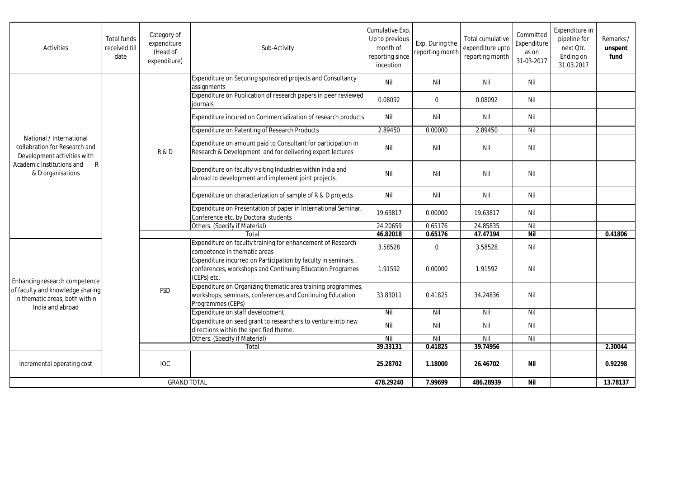| Activities                                                                                                                                      | <b>Total funds</b><br>received till<br>date | Category of<br>expenditure<br>(Head of<br>expenditure) | Sub-Activity                                                                                                                                   | Cumulative Exp.<br>Up to previous<br>month of<br>reporting since<br>inception | Exp. During the<br>reporting month | Total cumulative<br>expenditure upto<br>reporting month | Committed<br>Expenditure<br>as on<br>31-03-2017 | Expenditure in<br>pipeline for<br>next Otr.<br>Ending on<br>31.03.2017 | Remarks /<br>unspent<br>fund |
|-------------------------------------------------------------------------------------------------------------------------------------------------|---------------------------------------------|--------------------------------------------------------|------------------------------------------------------------------------------------------------------------------------------------------------|-------------------------------------------------------------------------------|------------------------------------|---------------------------------------------------------|-------------------------------------------------|------------------------------------------------------------------------|------------------------------|
| National / International<br>collabration for Research and<br>Development activities with<br>Academic Institutions and<br>R<br>& D organisations |                                             | <b>R&amp;D</b>                                         | Expenditure on Securing sponsored projects and Consultancy<br>assignments                                                                      | Nil                                                                           | Nil                                | Nil                                                     | Nil                                             |                                                                        |                              |
|                                                                                                                                                 |                                             |                                                        | Expenditure on Publication of research papers in peer reviewed<br>journals                                                                     | 0.08092                                                                       | $\mathbf{0}$                       | 0.08092                                                 | Nil                                             |                                                                        |                              |
|                                                                                                                                                 |                                             |                                                        | Expenditure incured on Commercialization of research products                                                                                  | Nil                                                                           | Nil                                | Nil                                                     | Nil                                             |                                                                        |                              |
|                                                                                                                                                 |                                             |                                                        | <b>Expenditure on Patenting of Research Products</b>                                                                                           | 2.89450                                                                       | 0.00000                            | 2.89450                                                 | Nil                                             |                                                                        |                              |
|                                                                                                                                                 |                                             |                                                        | Expenditure on amount paid to Consultant for participation in<br>Research & Development and for delivering expert lectures                     | Nil                                                                           | Nil                                | Nil                                                     | Nil                                             |                                                                        |                              |
|                                                                                                                                                 |                                             |                                                        | Expenditure on faculty visiting Industries within india and<br>abroad to development and implement joint projects.                             | Nil                                                                           | Nil                                | Nil                                                     | Nil                                             |                                                                        |                              |
|                                                                                                                                                 |                                             |                                                        | Expenditure on characterization of sample of R & D projects                                                                                    | Nil                                                                           | Nil                                | Nil                                                     | Nil                                             |                                                                        |                              |
|                                                                                                                                                 |                                             |                                                        | Expenditure on Presentation of paper in International Seminar,<br>Conference etc. by Doctoral students                                         | 19.63817                                                                      | 0.00000                            | 19.63817                                                | Nil                                             |                                                                        |                              |
|                                                                                                                                                 |                                             |                                                        | Others. (Specify if Material)                                                                                                                  | 24.20659                                                                      | 0.65176                            | 24.85835                                                | Nil                                             |                                                                        |                              |
|                                                                                                                                                 |                                             |                                                        | Total                                                                                                                                          | 46.82018                                                                      | 0.65176                            | 47.47194                                                | <b>Nil</b>                                      |                                                                        | 0.41806                      |
| Enhancing research competence<br>of faculty and knowledge sharing<br>in thematic areas, both within<br>India and abroad                         |                                             | <b>FSD</b>                                             | Expenditure on faculty training for enhancement of Research<br>competence in thematic areas                                                    | 3.58528                                                                       | $\mathbf 0$                        | 3.58528                                                 | Nil                                             |                                                                        |                              |
|                                                                                                                                                 |                                             |                                                        | Expenditure incurred on Participation by faculty in seminars,<br>conferences, workshops and Continuing Education Programes<br>(CEPs) etc.      | 1.91592                                                                       | 0.00000                            | 1.91592                                                 | Nil                                             |                                                                        |                              |
|                                                                                                                                                 |                                             |                                                        | Expenditure on Organizing thematic area training programmes,<br>workshops, seminars, conferences and Continuing Education<br>Programmes (CEPs) | 33.83011                                                                      | 0.41825                            | 34.24836                                                | Nil                                             |                                                                        |                              |
|                                                                                                                                                 |                                             |                                                        | Expenditure on staff development                                                                                                               | Nil                                                                           | Nil                                | Nil                                                     | Nil                                             |                                                                        |                              |
|                                                                                                                                                 |                                             |                                                        | Expenditure on seed grant to researchers to venture into new<br>directions within the specified theme.                                         | Nil                                                                           | Nil                                | Nil                                                     | Nil                                             |                                                                        |                              |
|                                                                                                                                                 |                                             |                                                        | Others. (Specify if Material)                                                                                                                  | Nil                                                                           | Nil                                | Nil                                                     | Nil                                             |                                                                        |                              |
|                                                                                                                                                 |                                             |                                                        | Total                                                                                                                                          | 39.33131                                                                      | 0.41825                            | 39.74956                                                |                                                 |                                                                        | 2.30044                      |
| Incremental operating cost                                                                                                                      |                                             | <b>IOC</b>                                             |                                                                                                                                                | 25.28702                                                                      | 1.18000                            | 26.46702                                                | Nil                                             |                                                                        | 0.92298                      |
| <b>GRAND TOTAL</b>                                                                                                                              |                                             |                                                        | 478.29240                                                                                                                                      | 7.99699                                                                       | 486.28939                          | <b>Nil</b>                                              |                                                 | 13.78137                                                               |                              |